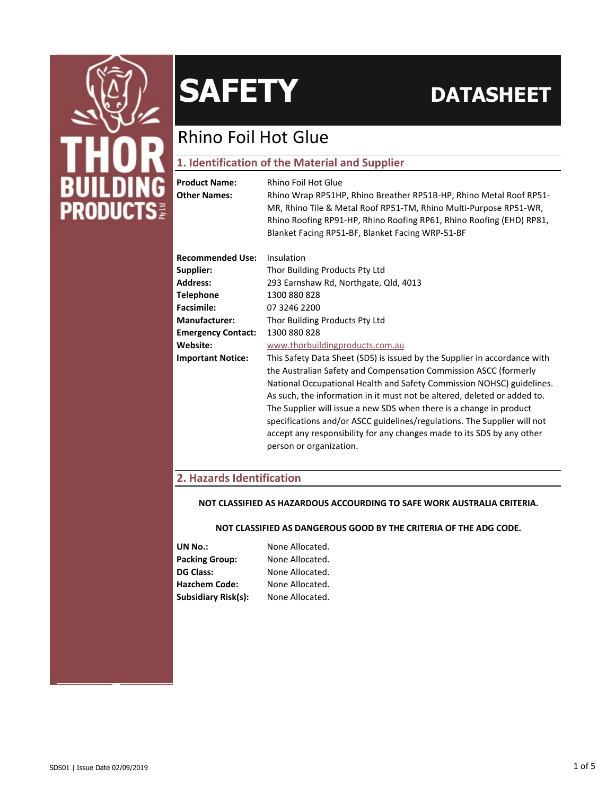

## Rhino Foil Hot Glue

### **1. Identification of the Material and Supplier**

| <b>Product Name:</b><br><b>Other Names:</b> | Rhino Foil Hot Glue<br>Rhino Wrap RP51HP, Rhino Breather RP51B-HP, Rhino Metal Roof RP51-<br>MR, Rhino Tile & Metal Roof RP51-TM, Rhino Multi-Purpose RP51-WR,<br>Rhino Roofing RP91-HP, Rhino Roofing RP61, Rhino Roofing (EHD) RP81,<br>Blanket Facing RP51-BF, Blanket Facing WRP-51-BF                                                                                                                                                                                                                                                                 |  |  |  |
|---------------------------------------------|------------------------------------------------------------------------------------------------------------------------------------------------------------------------------------------------------------------------------------------------------------------------------------------------------------------------------------------------------------------------------------------------------------------------------------------------------------------------------------------------------------------------------------------------------------|--|--|--|
| <b>Recommended Use:</b>                     | Insulation                                                                                                                                                                                                                                                                                                                                                                                                                                                                                                                                                 |  |  |  |
| Supplier:                                   | Thor Building Products Pty Ltd                                                                                                                                                                                                                                                                                                                                                                                                                                                                                                                             |  |  |  |
| <b>Address:</b>                             | 293 Earnshaw Rd, Northgate, Qld, 4013                                                                                                                                                                                                                                                                                                                                                                                                                                                                                                                      |  |  |  |
| <b>Telephone</b>                            | 1300 880 828                                                                                                                                                                                                                                                                                                                                                                                                                                                                                                                                               |  |  |  |
| <b>Facsimile:</b>                           | 07 3246 2200                                                                                                                                                                                                                                                                                                                                                                                                                                                                                                                                               |  |  |  |
| <b>Manufacturer:</b>                        | Thor Building Products Pty Ltd                                                                                                                                                                                                                                                                                                                                                                                                                                                                                                                             |  |  |  |
| <b>Emergency Contact:</b>                   | 1300 880 828                                                                                                                                                                                                                                                                                                                                                                                                                                                                                                                                               |  |  |  |
| Website:                                    | www.thorbuildingproducts.com.au                                                                                                                                                                                                                                                                                                                                                                                                                                                                                                                            |  |  |  |
| <b>Important Notice:</b>                    | This Safety Data Sheet (SDS) is issued by the Supplier in accordance with<br>the Australian Safety and Compensation Commission ASCC (formerly<br>National Occupational Health and Safety Commission NOHSC) guidelines.<br>As such, the information in it must not be altered, deleted or added to.<br>The Supplier will issue a new SDS when there is a change in product<br>specifications and/or ASCC guidelines/regulations. The Supplier will not<br>accept any responsibility for any changes made to its SDS by any other<br>person or organization. |  |  |  |

### **2. Hazards Identification**

#### **NOT CLASSIFIED AS HAZARDOUS ACCOURDING TO SAFE WORK AUSTRALIA CRITERIA.**

#### **NOT CLASSIFIED AS DANGEROUS GOOD BY THE CRITERIA OF THE ADG CODE.**

| None Allocated. |
|-----------------|
| None Allocated. |
| None Allocated. |
| None Allocated. |
| None Allocated. |
|                 |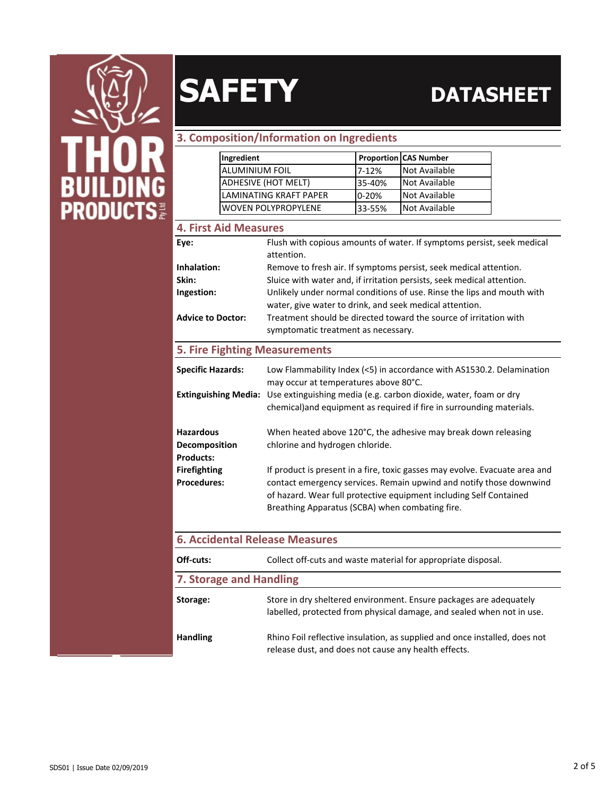

### **3. Composition/Information on Ingredients**

| Ingredient                 |           | <b>Proportion CAS Number</b> |
|----------------------------|-----------|------------------------------|
| <b>ALUMINIUM FOIL</b>      | $7-12%$   | Not Available                |
| ADHESIVE (HOT MELT)        | 35-40%    | Not Available                |
| LAMINATING KRAFT PAPER     | $0 - 20%$ | Not Available                |
| <b>WOVEN POLYPROPYLENE</b> | 33-55%    | Not Available                |

### **4. First Aid Measures**

| Eye:                                 | Flush with copious amounts of water. If symptoms persist, seek medical<br>attention.                                                                                                         |  |  |
|--------------------------------------|----------------------------------------------------------------------------------------------------------------------------------------------------------------------------------------------|--|--|
| Inhalation:                          | Remove to fresh air. If symptoms persist, seek medical attention.                                                                                                                            |  |  |
| Skin:                                | Sluice with water and, if irritation persists, seek medical attention.                                                                                                                       |  |  |
| Ingestion:                           | Unlikely under normal conditions of use. Rinse the lips and mouth with                                                                                                                       |  |  |
|                                      | water, give water to drink, and seek medical attention.                                                                                                                                      |  |  |
| <b>Advice to Doctor:</b>             | Treatment should be directed toward the source of irritation with                                                                                                                            |  |  |
|                                      | symptomatic treatment as necessary.                                                                                                                                                          |  |  |
| <b>5. Fire Fighting Measurements</b> |                                                                                                                                                                                              |  |  |
| <b>Specific Hazards:</b>             | Low Flammability Index (<5) in accordance with AS1530.2. Delamination<br>may occur at temperatures above 80°C.                                                                               |  |  |
| <b>Extinguishing Media:</b>          | Use extinguishing media (e.g. carbon dioxide, water, foam or dry<br>chemical) and equipment as required if fire in surrounding materials.                                                    |  |  |
|                                      |                                                                                                                                                                                              |  |  |
| <b>Hazardous</b>                     | When heated above 120°C, the adhesive may break down releasing                                                                                                                               |  |  |
| Decomposition                        | chlorine and hydrogen chloride.                                                                                                                                                              |  |  |
| <b>Products:</b>                     |                                                                                                                                                                                              |  |  |
| <b>Firefighting</b>                  | If product is present in a fire, toxic gasses may evolve. Evacuate area and                                                                                                                  |  |  |
| <b>Procedures:</b>                   | contact emergency services. Remain upwind and notify those downwind<br>of hazard. Wear full protective equipment including Self Contained<br>Breathing Apparatus (SCBA) when combating fire. |  |  |

| <b>6. Accidental Release Measures</b> |                                                                                                                                             |  |
|---------------------------------------|---------------------------------------------------------------------------------------------------------------------------------------------|--|
| Off-cuts:                             | Collect off-cuts and waste material for appropriate disposal.                                                                               |  |
| 7. Storage and Handling               |                                                                                                                                             |  |
| Storage:                              | Store in dry sheltered environment. Ensure packages are adequately<br>labelled, protected from physical damage, and sealed when not in use. |  |
| <b>Handling</b>                       | Rhino Foil reflective insulation, as supplied and once installed, does not<br>release dust, and does not cause any health effects.          |  |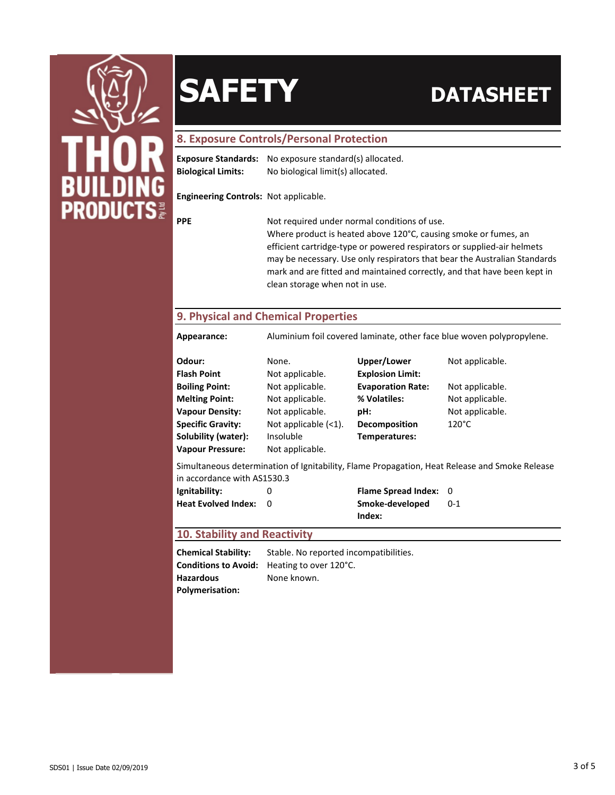

#### **8. Exposure Controls/Personal Protection**

|                           | <b>Exposure Standards:</b> No exposure standard(s) allocated. |
|---------------------------|---------------------------------------------------------------|
| <b>Biological Limits:</b> | No biological limit(s) allocated.                             |

**Engineering Controls:** Not applicable.

**PPE** Not required under normal conditions of use.

Where product is heated above 120°C, causing smoke or fumes, an efficient cartridge-type or powered respirators or supplied-air helmets may be necessary. Use only respirators that bear the Australian Standards mark and are fitted and maintained correctly, and that have been kept in clean storage when not in use.

### **9. Physical and Chemical Properties**

**Appearance:** Aluminium foil covered laminate, other face blue woven polypropylene.

| Odour:                   | None.                   | Upper/Lower              | Not applicable. |
|--------------------------|-------------------------|--------------------------|-----------------|
| <b>Flash Point</b>       | Not applicable.         | <b>Explosion Limit:</b>  |                 |
| <b>Boiling Point:</b>    | Not applicable.         | <b>Evaporation Rate:</b> | Not applicable. |
| <b>Melting Point:</b>    | Not applicable.         | % Volatiles:             | Not applicable. |
| <b>Vapour Density:</b>   | Not applicable.         | pH:                      | Not applicable. |
| <b>Specific Gravity:</b> | Not applicable $(<1)$ . | Decomposition            | $120^{\circ}$ C |
| Solubility (water):      | Insoluble               | Temperatures:            |                 |
| <b>Vapour Pressure:</b>  | Not applicable.         |                          |                 |

Simultaneous determination of Ignitability, Flame Propagation, Heat Release and Smoke Release in accordance with AS1530.3

| Ignitability:                | <b>Flame Spread Index: 0</b> |         |
|------------------------------|------------------------------|---------|
| <b>Heat Evolved Index: 0</b> | Smoke-developed              | $0 - 1$ |
|                              | Index:                       |         |

#### **10. Stability and Reactivity**

**Conditions to Avoid:** Heating to over 120°C. **Chemical Stability:** Stable. No reported incompatibilities. **Hazardous Polymerisation:** None known.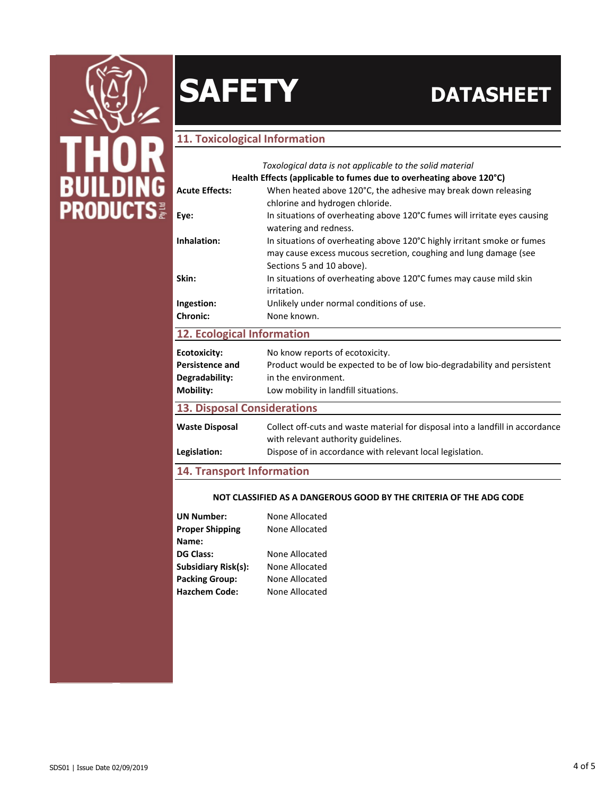

### **11. Toxicological Information**

|                                    | Toxological data is not applicable to the solid material                                       |  |  |  |
|------------------------------------|------------------------------------------------------------------------------------------------|--|--|--|
|                                    | Health Effects (applicable to fumes due to overheating above 120°C)                            |  |  |  |
| <b>Acute Effects:</b>              | When heated above 120°C, the adhesive may break down releasing                                 |  |  |  |
|                                    | chlorine and hydrogen chloride.                                                                |  |  |  |
| Eye:                               | In situations of overheating above 120°C fumes will irritate eyes causing                      |  |  |  |
|                                    | watering and redness.                                                                          |  |  |  |
| Inhalation:                        | In situations of overheating above 120°C highly irritant smoke or fumes                        |  |  |  |
|                                    | may cause excess mucous secretion, coughing and lung damage (see                               |  |  |  |
|                                    | Sections 5 and 10 above).                                                                      |  |  |  |
| Skin:                              | In situations of overheating above 120°C fumes may cause mild skin                             |  |  |  |
|                                    | irritation.                                                                                    |  |  |  |
| Ingestion:                         | Unlikely under normal conditions of use.                                                       |  |  |  |
| <b>Chronic:</b>                    | None known.                                                                                    |  |  |  |
| 12. Ecological Information         |                                                                                                |  |  |  |
| <b>Ecotoxicity:</b>                | No know reports of ecotoxicity.                                                                |  |  |  |
| <b>Persistence and</b>             |                                                                                                |  |  |  |
|                                    | Product would be expected to be of low bio-degradability and persistent<br>in the environment. |  |  |  |
| Degradability:                     |                                                                                                |  |  |  |
| <b>Mobility:</b>                   | Low mobility in landfill situations.                                                           |  |  |  |
| <b>13. Disposal Considerations</b> |                                                                                                |  |  |  |
| <b>Waste Disposal</b>              | Collect off-cuts and waste material for disposal into a landfill in accordance                 |  |  |  |
|                                    | with relevant authority guidelines.                                                            |  |  |  |
|                                    |                                                                                                |  |  |  |
| Legislation:                       | Dispose of in accordance with relevant local legislation.                                      |  |  |  |
| <b>14. Transport Information</b>   |                                                                                                |  |  |  |

#### **NOT CLASSIFIED AS A DANGEROUS GOOD BY THE CRITERIA OF THE ADG CODE**

| None Allocated |
|----------------|
| None Allocated |
|                |
| None Allocated |
| None Allocated |
| None Allocated |
| None Allocated |
|                |